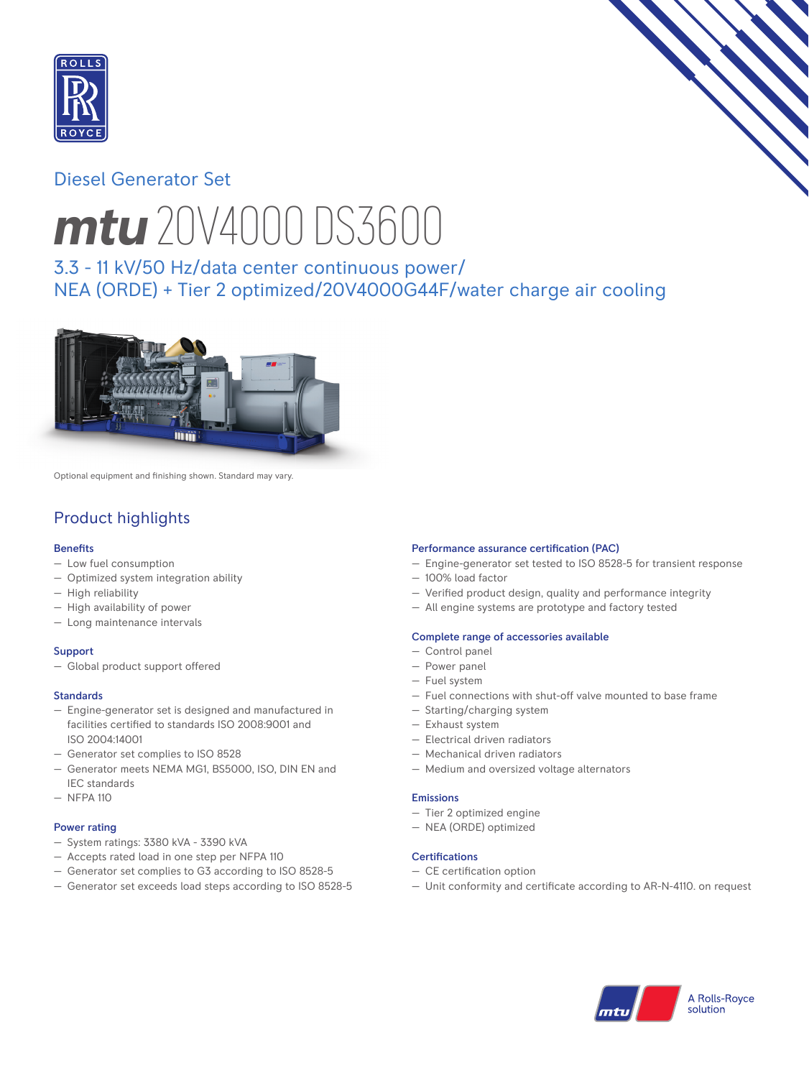

# Diesel Generator Set



# *mtu* 20V4000 DS3600

3.3 - 11 kV/50 Hz/data center continuous power/ NEA (ORDE) + Tier 2 optimized/20V4000G44F/water charge air cooling



Optional equipment and finishing shown. Standard may vary.

# Product highlights

## **Benefits**

- Low fuel consumption
- Optimized system integration ability
- High reliability
- High availability of power
- Long maintenance intervals

## **Support**

— Global product support offered

## Standards

- Engine-generator set is designed and manufactured in facilities certified to standards ISO 2008:9001 and ISO 2004:14001
- Generator set complies to ISO 8528
- Generator meets NEMA MG1, BS5000, ISO, DIN EN and IEC standards
- NFPA 110

## Power rating

- System ratings: 3380 kVA 3390 kVA
- Accepts rated load in one step per NFPA 110
- Generator set complies to G3 according to ISO 8528-5
- Generator set exceeds load steps according to ISO 8528-5

## Performance assurance certification (PAC)

- Engine-generator set tested to ISO 8528-5 for transient response
- 100% load factor
- $-$  Verified product design, quality and performance integrity
- All engine systems are prototype and factory tested

## Complete range of accessories available

- Control panel
- Power panel
- Fuel system
- Fuel connections with shut-off valve mounted to base frame
- Starting/charging system
- Exhaust system
- Electrical driven radiators
- Mechanical driven radiators
- Medium and oversized voltage alternators

## Emissions

- Tier 2 optimized engine
- NEA (ORDE) optimized

## Certifications

- $-$  CE certification option
- Unit conformity and certificate according to AR-N-4110. on request

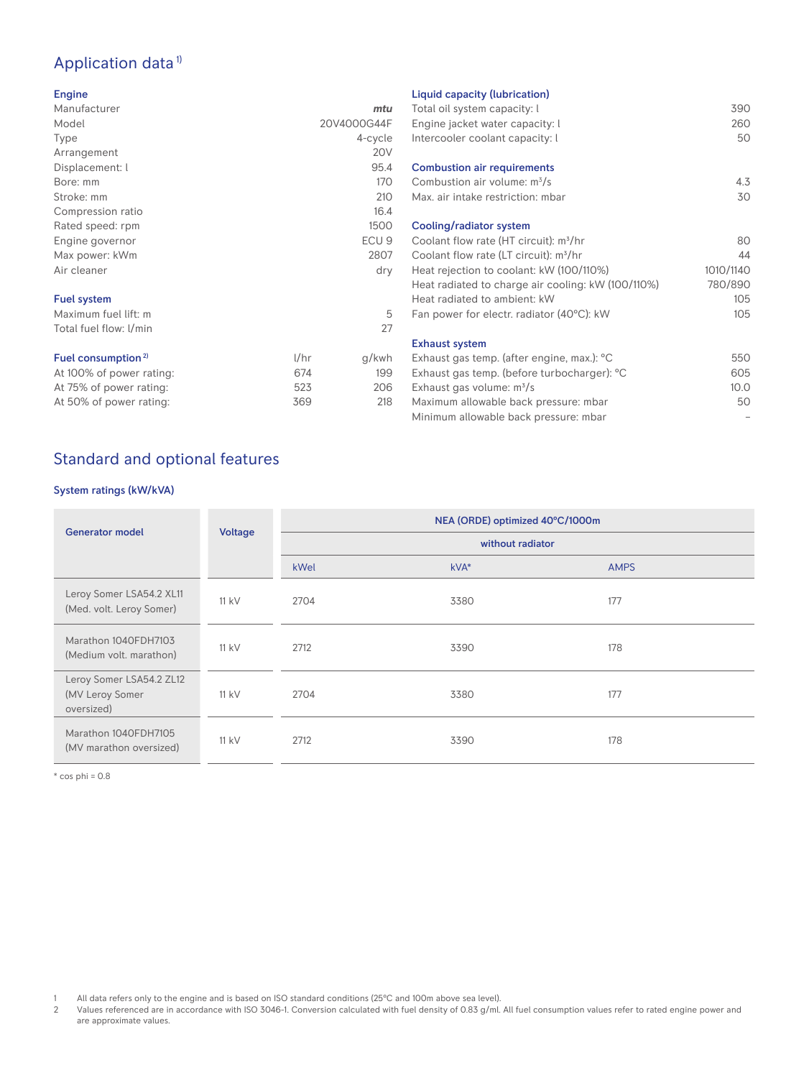# Application data<sup>1)</sup>

#### Engine

| Manufacturer                   |      | mtu              |
|--------------------------------|------|------------------|
| Model                          |      | 20V4000G44F      |
| <b>Type</b>                    |      | 4-cycle          |
| Arrangement                    |      | <b>20V</b>       |
| Displacement: l                |      | 95.4             |
| Bore: mm                       |      | 170              |
| Stroke: mm                     |      | 210              |
| Compression ratio              |      | 16.4             |
| Rated speed: rpm               |      | 1500             |
| Engine governor                |      | ECU <sub>9</sub> |
| Max power: kWm                 |      | 2807             |
| Air cleaner                    |      | dry              |
| <b>Fuel system</b>             |      |                  |
| Maximum fuel lift: m           |      | 5                |
| Total fuel flow: I/min         |      | 27               |
| Fuel consumption <sup>2)</sup> | 1/hr | g/kwh            |
| At 100% of power rating:       | 674  | 199              |
| At 75% of power rating:        | 523  | 206              |
| At 50% of power rating:        | 369  | 218              |

## Liquid capacity (lubrication)

| Eigaia capacity (tablication)                      |           |
|----------------------------------------------------|-----------|
| Total oil system capacity: I                       | 390       |
| Engine jacket water capacity: I                    | 260       |
| Intercooler coolant capacity: I                    | 50        |
|                                                    |           |
| <b>Combustion air requirements</b>                 |           |
| Combustion air volume: $m^3/s$                     | 4.3       |
| Max, air intake restriction: mbar                  | 30        |
|                                                    |           |
| Cooling/radiator system                            |           |
| Coolant flow rate (HT circuit): $m^3/hr$           | 80        |
| Coolant flow rate (LT circuit): m <sup>3</sup> /hr | 44        |
| Heat rejection to coolant: kW (100/110%)           | 1010/1140 |
| Heat radiated to charge air cooling: kW (100/110%) | 780/890   |
| Heat radiated to ambient: kW                       | 105       |
| Fan power for electr. radiator (40°C): kW          | 105       |
|                                                    |           |
| <b>Exhaust system</b>                              |           |
| Exhaust gas temp. (after engine, max.): °C         | 550       |
| Exhaust gas temp. (before turbocharger): °C        | 605       |
|                                                    | 10.0      |
| Exhaust gas volume: $m^3/s$                        |           |
| Maximum allowable back pressure: mbar              | 50        |
| Minimum allowable back pressure: mbar              |           |

# Standard and optional features

## System ratings (kW/kVA)

|                                                           |         | NEA (ORDE) optimized 40°C/1000m |        |             |
|-----------------------------------------------------------|---------|---------------------------------|--------|-------------|
| <b>Generator model</b>                                    | Voltage | without radiator                |        |             |
|                                                           |         | kWel                            | $kVA*$ | <b>AMPS</b> |
| Leroy Somer LSA54.2 XL11<br>(Med. volt. Leroy Somer)      | $11$ kV | 2704                            | 3380   | 177         |
| Marathon 1040FDH7103<br>(Medium volt. marathon)           | $11$ kV | 2712                            | 3390   | 178         |
| Leroy Somer LSA54.2 ZL12<br>(MV Leroy Somer<br>oversized) | $11$ kV | 2704                            | 3380   | 177         |
| Marathon 1040FDH7105<br>(MV marathon oversized)           | $11$ kV | 2712                            | 3390   | 178         |

 $*$  cos phi = 0.8

1 All data refers only to the engine and is based on ISO standard conditions (25°C and 100m above sea level).<br>2 Values referenced are in accordance with ISO 3046-1. Conversion calculated with fuel density of 0.83 g/ml.

2 Values referenced are in accordance with ISO 3046-1. Conversion calculated with fuel density of 0.83 g/ml. All fuel consumption values refer to rated engine power and are approximate values.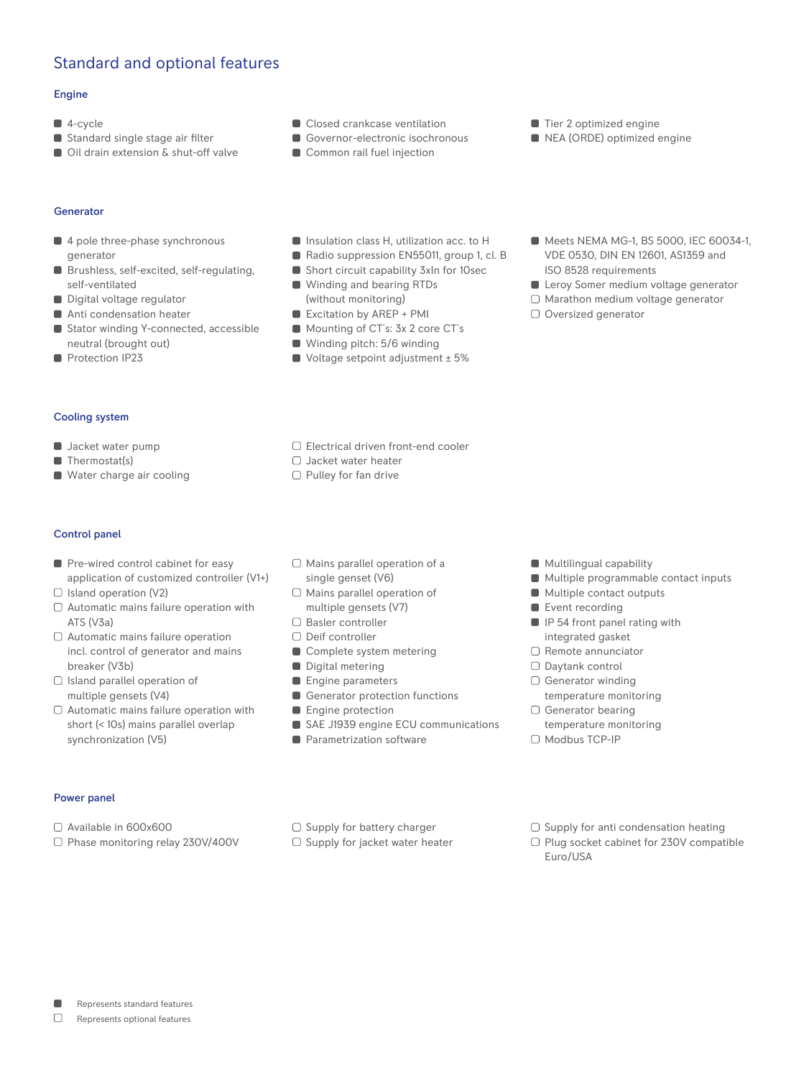# Standard and optional features

#### Engine

- 4-cycle
- Standard single stage air filter
- Oil drain extension & shut-off valve
- Closed crankcase ventilation
- Governor-electronic isochronous
- Common rail fuel injection
- Tier 2 optimized engine
- NEA (ORDE) optimized engine

#### Generator

- 4 pole three-phase synchronous generator
- Brushless, self-excited, self-regulating, self-ventilated
- Digital voltage regulator
- Anti condensation heater
- Stator winding Y-connected, accessible neutral (brought out)
- Protection IP23
- **Insulation class H, utilization acc. to H**
- Radio suppression EN55011, group 1, cl. B
- Short circuit capability 3xln for 10sec ■ Winding and bearing RTDs (without monitoring)
- Excitation by AREP + PMI
- Mounting of CT's: 3x 2 core CT's
- Winding pitch: 5/6 winding
- Voltage setpoint adjustment ± 5%

Electrical driven front-end cooler

- Meets NEMA MG-1, BS 5000, IEC 60034-1, VDE 0530, DIN EN 12601, AS1359 and ISO 8528 requirements
- **Leroy Somer medium voltage generator**
- $\Box$  Marathon medium voltage generator
- O Oversized generator

- Cooling system
- **Jacket water pump**
- Thermostat(s)
- Water charge air cooling
- Control panel
- Pre-wired control cabinet for easy application of customized controller (V1+)
- $\Box$  Island operation (V2)
- $\Box$  Automatic mains failure operation with ATS (V3a)
- Automatic mains failure operation incl. control of generator and mains breaker (V3b)
- $\Box$  Island parallel operation of multiple gensets (V4)
- $\Box$  Automatic mains failure operation with short (< 10s) mains parallel overlap synchronization (V5)
- $\Box$  Mains parallel operation of a single genset (V6)
- 
- □ Basler controller

□ Jacket water heater  $\Box$  Pulley for fan drive

- 
- 
- 
- 
- 
- 
- 
- 
- **Multilingual capability**
- **Multiple programmable contact inputs**
- **Multiple contact outputs**
- Event recording
- **IP 54 front panel rating with** integrated gasket
- $\Box$  Remote annunciator
- Daytank control
- O Generator winding
- temperature monitoring
- □ Generator bearing
- temperature monitoring □ Modbus TCP-IP

- Power panel
- Available in 600x600
- □ Phase monitoring relay 230V/400V
- $\Box$  Supply for battery charger  $\Box$  Supply for jacket water heater
- $\Box$  Supply for anti condensation heating
- □ Plug socket cabinet for 230V compatible Euro/USA
- $\Box$  Mains parallel operation of multiple gensets (V7)
- □ Deif controller
- Complete system metering
- Digital metering
- **Engine parameters**
- Generator protection functions
- **Engine protection**
- SAE J1939 engine ECU communications
- **Parametrization software**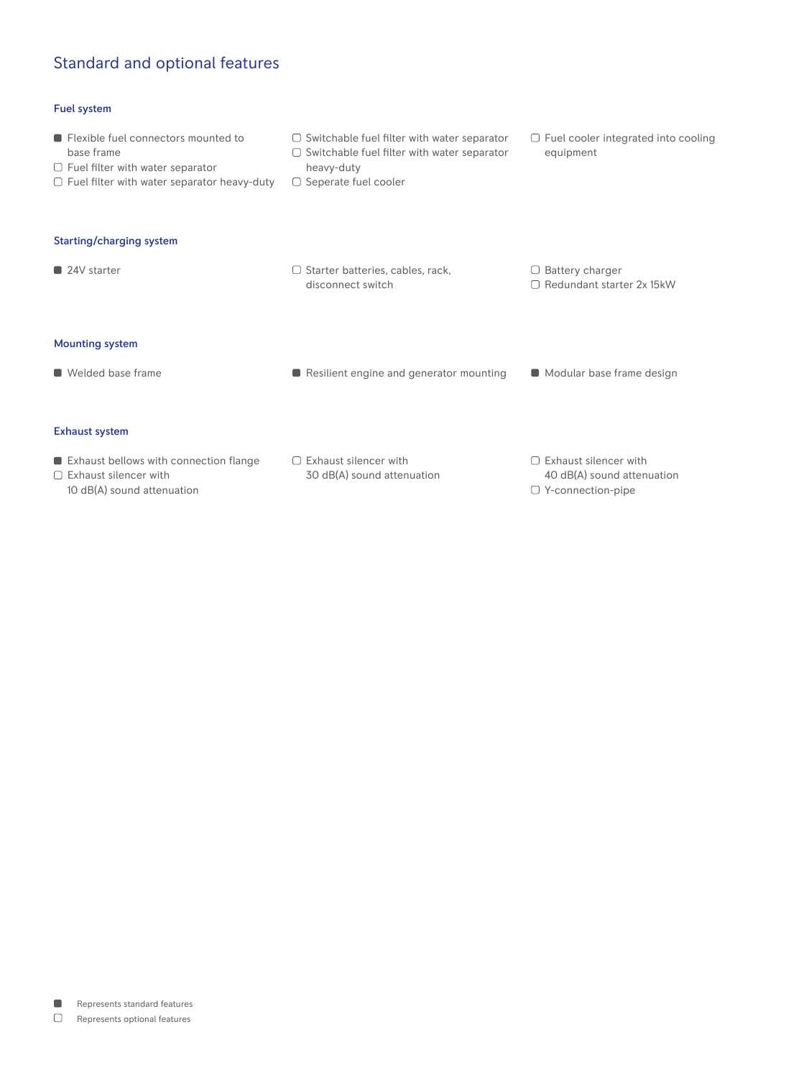# Standard and optional features

## Fuel system

- **Flexible fuel connectors mounted to** base frame  $\Box$  Fuel filter with water separator  $\Box$  Fuel filter with water separator heavy-duty  $\Box$  Switchable fuel filter with water separator  $\Box$  Switchable fuel filter with water separator heavy-duty  $\Box$  Seperate fuel cooler □ Fuel cooler integrated into cooling equipment Starting/charging system  $\Box$  24V starter  $\Box$  24V starter  $\Box$  312 starter batteries, cables, rack, disconnect switch  $\Box$  Battery charger □ Redundant starter 2x 15kW Mounting system ■ Welded base frame <br>■ Resilient engine and generator mounting ■ Modular base frame design Exhaust system **Exhaust bellows with connection flange**  $\square$  Exhaust silencer with  $\Box$  Exhaust silencer with  $\Box$  Exhaust silencer with
	- 10 dB(A) sound attenuation
- 30 dB(A) sound attenuation
- 40 dB(A) sound attenuation Y-connection-pipe

 $\blacksquare$ Represents standard features